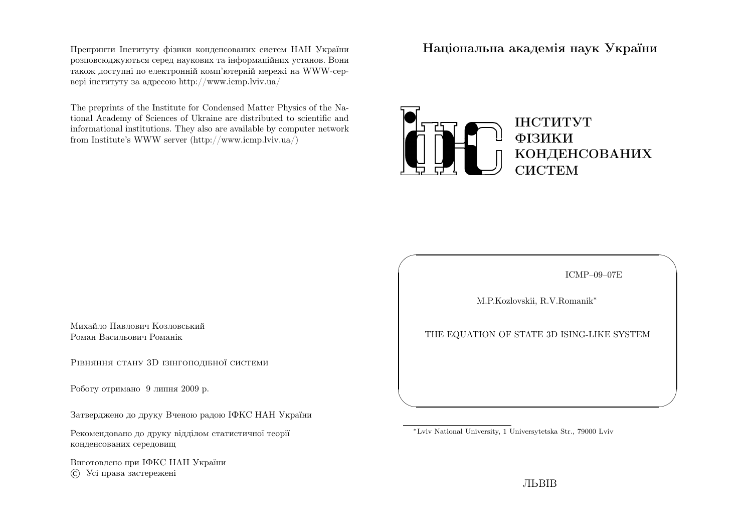Препринти Iнституту фiзики конденсованих систем НАН України розповсюджуються серед наукових та iнформацiйних установ. Вони також доступнi по електроннiй комп'ютернiй мережi на WWW-сервер<sup>i</sup> iнституту за адресою http://www.icmp.lviv.ua/

The preprints of the Institute for Condensed Matter Physics of the National Academy of Sciences of Ukraine are distributed to scientific and informational institutions. They also are available by computer networkfrom Institute's WWW server (http://www.icmp.lviv.ua/)

Нацiональна академiя наук України



ICMP–09–07E

✩

 $\mathcal{S}$ 

M.P.Kozlovskii, R.V.Romanik∗

 $\sqrt{2}$ 

 $\setminus$ 

THE EQUATION OF STATE 3D ISING-LIKE SYSTEM

Михайло Павлович КозловськийРоман Васильович Романiк

Рiвняння стану 3D iзiнгоподiбної системи

Роботу отримано 9 липня 2009 р.

Затверджено до друку Вченою радою IФКС НАН України

Рекомендовано до друку вiддiлом статистичної теорiїконденсованих середовищ

Виготовлено при IФКС НАН України© Усi права застережен<sup>i</sup>

<sup>∗</sup>Lviv National University, 1 Universytetska Str., 79000 Lviv

ЛЬВIВ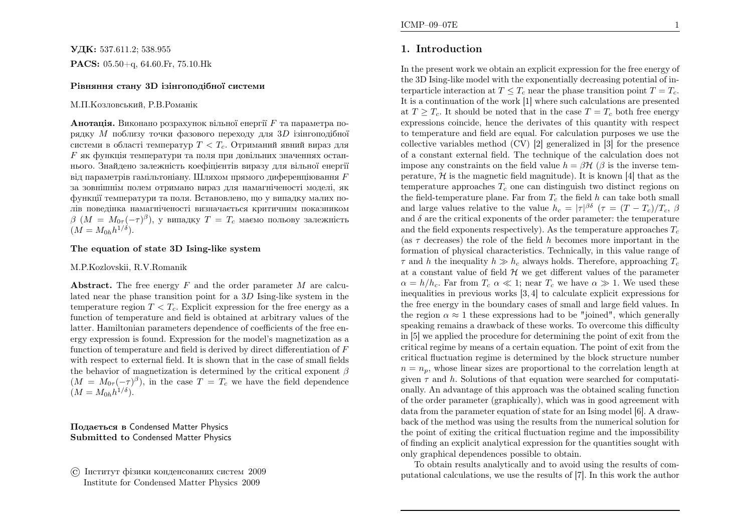УДК: 537.611.2; 538.955 $\mathbf{PACS:}$  05.50+q, 64.60.Fr, 75.10.Hk

#### Рiвняння стану 3D iзiнгоподiбної системи

### М.П.Козловський, Р.В.Романiк

**Анотація.** Виконано розрахунок вільної енергії  $F$  та параметра порядку M поблизу точки фазового переходу для 3D iзiнгоподiбної<br>системи в області температур  $T < T$ . Отриманий явний вираз для системи в області температур  $T < T_c$ . Отриманий явний вираз для  $F$  як функція температури та поля при довільних значеннях останнього. Знайдено залежнiсть коефiцiєнтiв виразу для вiльної енергiївід параметрів гамільтоніану. Шляхом прямого диференціювання  $\bar{F}$  за зовнiшнiм полем отримано вираз для намагнiченостi моделi, як функцiї температури та поля. Встановлено, що у випадку малих полiв поведiнка намагнiченостi визначається критичним показником $\beta$  ( $M=M_{0\tau }(-\tau )^{\beta }$ ), у випадку  $T=T_c$  маємо польову залежність  $(M=M_{0h}h^{1/\delta}).$ 

## The equation of state 3D Ising-like system

### M.P.Kozlovskii, R.V.Romanik

Abstract. The free energy  $F$  and the order parameter  $M$  are calcu-<br>lated near the phase transition point for a 3D Ising-like system in the lated near the phase transition point for a  $3D$  Ising-like system in the<br>terms of the fore system is  $T \leq T$ . Evalisit system for the face system is a temperature region  $T < T_c$ . Explicit expression for the free energy as a function of temperature and field is obtained at arbitrary values of the latter. Hamiltonian parameters dependence of coefficients of the free energy expression is found. Expression for the model's magnetization as <sup>a</sup>function of temperature and field is derived by direct differentiation of  $F$  with respect to external field. It is shown that in the case of small fieldsthe behavior of magnetization is determined by the critical exponent  $\beta$  $(M=M_{0\tau} (-\tau)^{\beta})$ , in the case  $T=T_c$  we have the field dependence  $(M=M_{0h}h^{1/\delta}).$ 

Подається <sup>в</sup> Condensed Matter Physics Submitted to Condensed Matter Physics

### 1. Introduction

In the present work we obtain an explicit expression for the free energy of the 3D Ising-like model with the exponentially decreasing potential of interparticle interaction at  $T \leq T_c$  near the phase transition point  $T=T_c$ . It is <sup>a</sup> continuation of the work [1] where such calculations are presentedat  $T \geq T_c$ . It should be noted that in the case  $T=T_c$  both free energy expressions coincide, hence the derivates of this quantity with respect to temperature and field are equal. For calculation purposes we use the collective variables method (CV) [2] generalized in [3] for the presence of <sup>a</sup> constant external field. The technique of the calculation does notimpose any constraints on the field value  $h=\beta\mathcal{H}$  ( $\beta$  is the inverse tem-<br>parature  $\mathcal{H}$  is the magnetic field magnitude). It is known [4] that as the perature,  $\mathcal{H}$  is the magnetic field magnitude). It is known [4] that as the term entities approaches  $T$ , are seen distinguish two distinct regions and temperature approaches  $T_c$  one can distinguish two distinct regions on the field-temperature plane. Far from  $T_c$  the field h can take both small and large values relative to the value  $h_c = |\tau|^{\beta \delta}$   $(\tau = (T - T_c)/T_c, \beta$ and  $\delta$  are the critical exponents of the order parameter: the temperature and the field exponents respectively). As the temperature approaches  $T_c$ (as  $\tau$  decreases) the role of the field h becomes more important in the formation of <sup>p</sup>hysical characteristics. Technically, in this value range of $\tau$  and h the inequality  $h \gg h_c$  always holds. Therefore, approaching  $T_c$ at a constant value of field  $\mathcal{H}$  we get different values of the parameter  $\alpha = h/h_c$ . Far from  $T_c$   $\alpha \ll 1$ ; near  $T_c$  we have  $\alpha \gg 1$ . We used these inequalities in provious works [3, 4] to calculate evolvit expressions for inequalities in previous works [3, 4] to calculate explicit expressions for the free energy in the boundary cases of small and large field values. Inthe region  $\alpha \approx 1$  these expressions had to be "joined", which generally  $\alpha \approx 1$  these explicitly  $\epsilon$  and  $\epsilon$ . The expression this different speaking remains <sup>a</sup> drawback of these works. To overcome this difficulty in [5] we applied the procedure for determining the point of exit from the critical regime by means of <sup>a</sup> certain equation. The point of exit from the critical fluctuation regime is determined by the block structure number $n=n_p$ , whose linear sizes are proportional to the correlation length at given  $\tau$  and h. Solutions of that equation were searched for computati- onally. An advantage of this approach was the obtained scaling function of the order parameter (graphically), which was in good agreement with data from the parameter equation of state for an Ising model [6]. A drawback of the method was using the results from the numerical solution for the point of exiting the critical fluctuation regime and the impossibility of finding an explicit analytical expression for the quantities sought withonly graphical dependences possible to obtain.

To obtain results analytically and to avoid using the results of computational calculations, we use the results of [7]. In this work the author

<sup>©</sup> Iнститут фiзики конденсованих систем <sup>2009</sup>Institute for Condensed Matter Physics 2009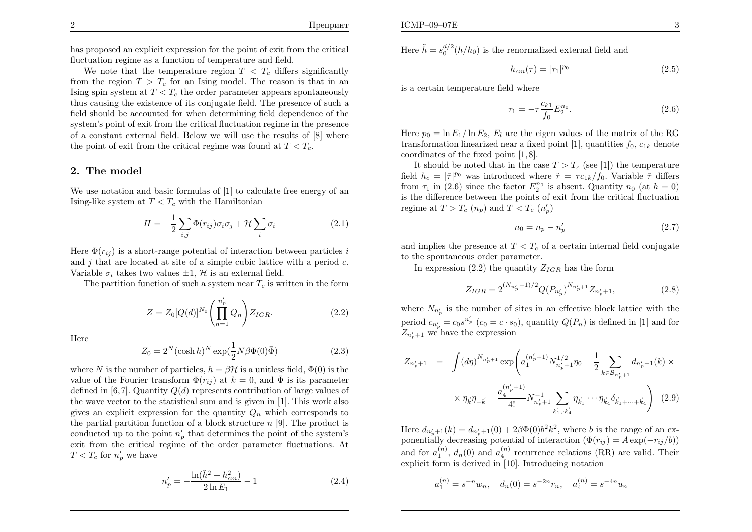has proposed an explicit expression for the point of exit from the criticalfluctuation regime as <sup>a</sup> function of temperature and field.

We note that the temperature region  $T < T_c$  differs significantly from the region  $T > T_c$  for an Ising model. The reason is that in an Ising spin system at  $T < T_c$  the order parameter appears spontaneously thus causing the existence of its conjugate field. The presence of such <sup>a</sup> field should be accounted for when determining field dependence of the system's point of exit from the critical fluctuation regime in the presence of <sup>a</sup> constant external field. Below we will use the results of [8] wherethe point of exit from the critical regime was found at  $T < T_c$ .

## 2. The model

We use notation and basic formulas of [1] to calculate free energy of anIsing-like system at  $T < T_c$  with the Hamiltonian

$$
H = -\frac{1}{2} \sum_{i,j} \Phi(r_{ij}) \sigma_i \sigma_j + \mathcal{H} \sum_i \sigma_i \tag{2.1}
$$

Here  $\Phi(r_{ij})$  is a short-range potential of interaction between particles *i* and  $j$  that are located at site of a simple cubic lattice with a period  $c$ . Variable  $\sigma_i$  takes two values  $\pm 1$ , H is an external field.<br>The position function of such a system near T is m

The partition function of such a system near  $T_c$  is written in the form

$$
Z = Z_0 [Q(d)]^{N_0} \left( \prod_{n=1}^{n'_p} Q_n \right) Z_{IGR}.
$$
 (2.2)

Here

$$
Z_0 = 2^N (\cosh h)^N \exp\left(\frac{1}{2}N\beta\Phi(0)\bar{\Phi}\right)
$$
 (2.3)

where N is the number of particles,  $h = \beta \mathcal{H}$  is a unitless field,  $\Phi(0)$  is the number of the Fourier transform  $\Phi(x)$  is the number of the Fourier transform  $\Phi(x)$  is the number of the Fourier transform  $\Phi(x)$ value of the Fourier transform  $\Phi(r_{ij})$  at  $k = 0$ , and  $\bar{\Phi}$  is its parameter defined in [6,7]. Quantity  $Q(d)$  represents contribution of large values of the wave vector to the statistical sum and is <sup>g</sup>iven in [1]. This work alsogives an explicit expression for the quantity  $Q_n$  which corresponds to the partial partition function of a block structure  $n$  [9]. The product is conducted up to the point  $n'_p$  that determines the point of the system's exit from the critical regime of the order parameter fluctuations. At $T < T_c$  for  $n'_p$  we have

$$
n'_{p} = -\frac{\ln(\tilde{h}^2 + h_{cm}^2)}{2\ln E_1} - 1
$$
\n(2.4)

Here  $\tilde{h} = s_0^{d/2} (h/h_0)$  is the renormalized external field and

$$
h_{cm}(\tau) = |\tau_1|^{p_0} \tag{2.5}
$$

is <sup>a</sup> certain temperature field where

$$
\tau_1 = -\tau \frac{c_{k1}}{f_0} E_2^{n_0}.
$$
\n(2.6)

Here  $p_0 = \ln E_1 / \ln E_2$ ,  $E_l$  are the eigen values of the matrix of the RG transformation linearized near a fixed point [1], quantities  $f_0$ ,  $c_{1k}$  denote coordinates of the fixed point [1, 8].

It should be noted that in the case  $T > T_c$  (see [1]) the temperature field  $h_c = |\tilde{\tau}|^{p_0}$  was introduced where  $\tilde{\tau} = \tau c_{1k}/f_0$ . Variable  $\tilde{\tau}$  differs from  $\tau_1$  in (2.6) since the factor  $E_2^{n_0}$  is absent. Quantity  $n_0$  (at  $h = 0$ ) is the difference between the points of exit from the critical fluctuationregime at  $T > T_c (n_p)$  and  $T < T_c (n'_p)$ 

$$
n_0 = n_p - n'_p \tag{2.7}
$$

and implies the presence at  $T < T_c$  of a certain internal field conjugate to the spontaneous order parameter.

In expression (2.2) the quantity  $Z_{IGR}$  has the form

$$
Z_{IGR} = 2^{(N_{n'_p} - 1)/2} Q(P_{n'_p})^{N_{n'_p + 1}} Z_{n'_p + 1},
$$
\n(2.8)

where  $N_{n_p'}$  is the number of sites in an effective block lattice with the period  $c_{n'_p} = c_0 s^{n'_p}$   $(c_0 = c \cdot s_0)$ , quantity  $Q(P_n)$  is defined in [1] and for  $Z$  $Q'(c_0 = c \cdot s_0)$ , quantity  $Q(P_n)$  is defined in [1] and for  $Z_{n_p'+1}$  we have the expression

$$
Z_{n'_{p}+1} = \int (d\eta)^{N_{n'_{p}+1}} \exp\left(a_1^{(n'_{p}+1)} N_{n'_{p}+1}^{1/2} \eta_0 - \frac{1}{2} \sum_{k \in \mathcal{B}_{n'_{p}+1}} d_{n'_{p}+1}(k) \times \times \eta_{\vec{k}} \eta_{-\vec{k}} - \frac{a_4^{(n'_{p}+1)}}{4!} N_{n'_{p}+1}^{-1} \sum_{k_1, k_4} \eta_{\vec{k}_1} \cdots \eta_{\vec{k}_4} \delta_{\vec{k}_1 + \cdots + \vec{k}_4} \right) (2.9)
$$

Here  $d_{n'_{p}+1}(k) = d_{n'_{p}+1}(0) + 2\beta \Phi(0)b^{2}k^{2}$ , where b is the range of an exponentially decreasing potential of interaction  $(\Phi(r_{ij}) = A \exp(-r_{ij}/b))$ and for  $a_1^{(n)}$ ,  $d_n(0)$  and  $a_4^{(n)}$  recurrence relations (RR) are valid. Their explicit form is derived in [10]. Introducing notation

$$
a_1^{(n)} = s^{-n}w_n
$$
,  $d_n(0) = s^{-2n}r_n$ ,  $a_4^{(n)} = s^{-4n}u_n$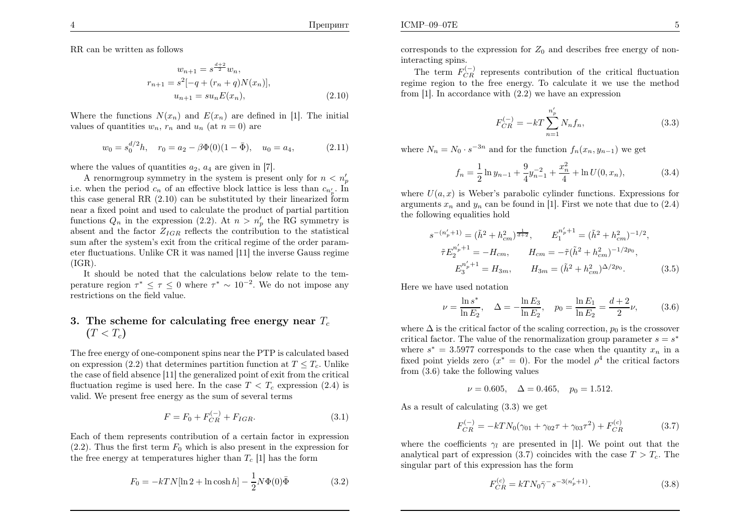$\mathbf{E}$  5

RR can be written as follows

$$
w_{n+1} = s^{\frac{d+2}{2}} w_n,
$$
  
\n
$$
r_{n+1} = s^2 [-q + (r_n + q)N(x_n)],
$$
  
\n
$$
u_{n+1} = su_n E(x_n),
$$
\n(2.10)

Where the functions  $N(x_n)$  and  $E(x_n)$  are defined in [1]. The initial values of quantities  $w_n$ ,  $r_n$  and  $u_n$  (at  $n = 0$ ) are

$$
w_0 = s_0^{d/2}h, \quad r_0 = a_2 - \beta \Phi(0)(1 - \bar{\Phi}), \quad u_0 = a_4,\tag{2.11}
$$

where the values of quantities  $a_2$ ,  $a_4$  are given in [7].

A renormatious symmetry in the system is present only for  $n < n'_p$ i.e. when the period  $c_n$  of an effective block lattice is less than  $c_{n_p'}$ . In this case genera<sup>l</sup> RR (2.10) can be substituted by their linearized form near <sup>a</sup> fixed point and used to calculate the product of partial partitionfunctions  $Q_n$  in the expression (2.2). At  $n > n'_p$  the RG symmetry is absent and the factor  $Z_{IGR}$  reflects the contribution to the statistical sum after the system's exit from the critical regime of the order parameter fluctuations. Unlike CR it was named [11] the inverse Gauss regime $(IGR).$ 

 It should be noted that the calculations below relate to the temperature region  $\tau^* \leq \tau \leq 0$  where  $\tau^* \sim 10^{-2}$ . We do not impose any restrictions on the field value.

## 3. The scheme for calculating free energy near  $T_c$  $(T < T_c)$

The free energy of one-component spins near the PTP is calculated basedon expression (2.2) that determines partition function at  $T \leq T_c$ . Unlike the case of field absence [11] the generalized point of exit from the criticalfluctuation regime is used here. In the case  $T < T_c$  expression (2.4) is valid. We present free energy as the sum of several terms

$$
F = F_0 + F_{CR}^{(-)} + F_{IGR}.
$$
\n(3.1)

Each of them represents contribution of <sup>a</sup> certain factor in expression $(2.2)$ . Thus the first term  $F_0$  which is also present in the expression for the free energy at temperatures higher than  $T_c$  [1] has the form

$$
F_0 = -kTN[\ln 2 + \ln \cosh h] - \frac{1}{2}N\Phi(0)\bar{\Phi}
$$
 (3.2)

corresponds to the expression for  $Z_0$  and describes free energy of noninteracting spins.

The term  $F_{CR}^{(-)}$  represents contribution of the critical fluctuation<br>integration to the free energy. To calculate it we use the method regime region to the free energy. To calculate it we use the methodfrom [1]. In accordance with (2.2) we have an expression

$$
F_{CR}^{(-)} = -kT \sum_{n=1}^{n'_p} N_n f_n,
$$
\n(3.3)

where  $N_n = N_0 \cdot s^{-3n}$  and for the function  $f_n(x_n, y_{n-1})$  we get

$$
f_n = \frac{1}{2} \ln y_{n-1} + \frac{9}{4} y_{n-1}^{-2} + \frac{x_n^2}{4} + \ln U(0, x_n), \tag{3.4}
$$

where  $U(a, x)$  is Weber's parabolic cylinder functions. Expressions for arguments  $x_n$  and  $y_n$  can be found in [1]. First we note that due to (2.4) the following equalities hold

$$
s^{-(n'_p+1)} = (\tilde{h}^2 + h_{cm}^2)^{\frac{1}{d+2}}, \qquad E_1^{n'_p+1} = (\tilde{h}^2 + h_{cm}^2)^{-1/2},
$$
  

$$
\tilde{\tau} E_2^{n'_p+1} = -H_{cm}, \qquad H_{cm} = -\tilde{\tau} (\tilde{h}^2 + h_{cm}^2)^{-1/2p_0},
$$
  

$$
E_3^{n'_p+1} = H_{3m}, \qquad H_{3m} = (\tilde{h}^2 + h_{cm}^2)^{\Delta/2p_0}.
$$
 (3.5)

Here we have used notation

$$
\nu = \frac{\ln s^*}{\ln E_2}, \quad \Delta = -\frac{\ln E_3}{\ln E_2}, \quad p_0 = \frac{\ln E_1}{\ln E_2} = \frac{d+2}{2}\nu, \tag{3.6}
$$

where  $\Delta$  is the critical factor of the scaling correction,  $p_0$  is the crossover critical factor. The value of the renormalization group parameter  $s = s^*$ where  $s^* = 3.5977$  corresponds to the case when the quantity  $x_n$  in a fixed point yields zero ( $x^* = 0$ ). For the model  $\rho^4$  the critical factors from (3.6) take the following values

$$
\nu = 0.605
$$
,  $\Delta = 0.465$ ,  $p_0 = 1.512$ .

As <sup>a</sup> result of calculating (3.3) we get

$$
F_{CR}^{(-)} = -kTN_0(\gamma_{01} + \gamma_{02}\tau + \gamma_{03}\tau^2) + F_{CR}^{(c)}
$$
 (3.7)

where the coefficients  $\gamma_l$  are presented in [1]. We point out that the analytical part of expression (3.7) coincides with the case  $T > T_c$ . The singular part of this expression has the form

$$
F_{CR}^{(c)} = kT N_0 \bar{\gamma}^{-} s^{-3(n'_p + 1)}.
$$
\n(3.8)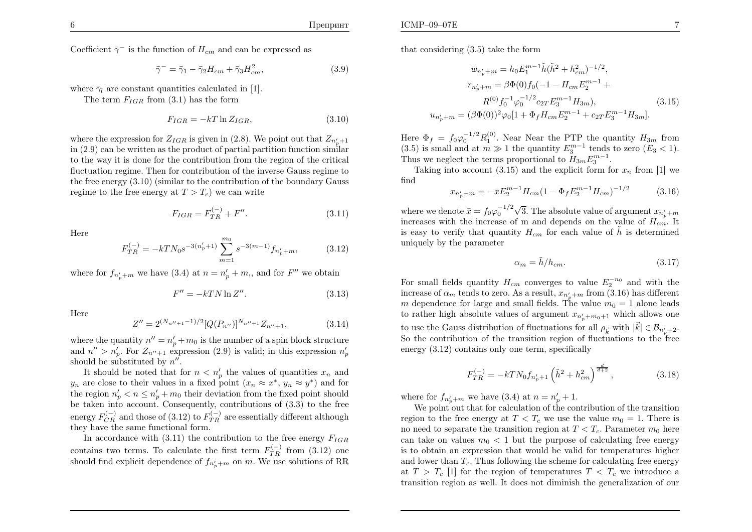Coefficient  $\bar{\gamma}$ <sup>−</sup> is the function of  $H_{cm}$  and can be expressed as

$$
\bar{\gamma}^- = \bar{\gamma}_1 - \bar{\gamma}_2 H_{cm} + \bar{\gamma}_3 H_{cm}^2,\tag{3.9}
$$

where  $\bar{\gamma}_l$  are constant quantities calculated in [1].

The term  $F_{IGR}$  from (3.1) has the form

$$
F_{IGR} = -kT \ln Z_{IGR},\tag{3.10}
$$

where the expression for  $Z_{IGR}$  is given in (2.8). We point out that  $Z_{n'_{p+1}}$  in (2.9) can be written as the product of partial partition function similar to the way it is done for the contribution from the region of the criticalfluctuation regime. Then for contribution of the inverse Gauss regime to the free energy (3.10) (similar to the contribution of the boundary Gaussregime to the free energy at  $T > T_c$ ) we can write

$$
F_{IGR} = F_{TR}^{(-)} + F''.
$$
\n(3.11)

Here

$$
F_{TR}^{(-)} = -kTN_0s^{-3(n_p'+1)}\sum_{m=1}^{m_0} s^{-3(m-1)}f_{n_p'+m},
$$
 (3.12)

where for  $f_{n'_p+m}$  we have (3.4) at  $n=n'_p+m$ , and for  $F''$  we obtain

$$
F'' = -kTN \ln Z''.
$$
\n(3.13)

Here

$$
Z'' = 2^{(N_{n''+1}-1)/2} [Q(P_{n''})]^{N_{n''+1}} Z_{n''+1},
$$
\n(3.14)

where the quantity  $n'' = n'_p + m_0$  is the number of a spin block structure and  $n'' > n'_p$ . For  $Z_{n''+1}$  expression (2.9) is valid; in this expression  $n'_p$ should be substituted by  $n''$ .

It should be noted that for  $n \lt n_p'$  the values of quantities  $x_n$  and  $y_n$  are close to their values in a fixed point  $(x_n \approx x^*, y_n \approx y^*)$  and for the region  $n'_p < n \leq n'_p + m_0$  their deviation from the fixed point should be taken into account. Consequently, contributions of (3.3) to the freeenergy  $F_{CR}^{(-)}$  and those of (3.12) to  $F_{TR}^{(-)}$  are essentially different although they have the same functional form they have the same functional form.

In accordance with  $(3.11)$  the contribution to the free energy  $F_{IGR}$ contains two terms. To calculate the first term  $F_{TRR}^{(-)}$  from (3.12) one<br>chould find evaluate dependence of  $f_{\text{max}}$  on  $m_{\text{max}}$  was colutions of PP should find explicit dependence of  $f_{n'_p+m}$  on m. We use solutions of RR that considering (3.5) take the form

$$
w_{n'_p+m} = h_0 E_1^{m-1} \tilde{h} (\tilde{h}^2 + h_{cm}^2)^{-1/2},
$$
  
\n
$$
r_{n'_p+m} = \beta \Phi(0) f_0 (-1 - H_{cm} E_2^{m-1} +
$$
  
\n
$$
R^{(0)} f_0^{-1} \varphi_0^{-1/2} c_{2T} E_3^{m-1} H_{3m}),
$$
  
\n
$$
u_{n'_p+m} = (\beta \Phi(0))^2 \varphi_0 [1 + \Phi_f H_{cm} E_2^{m-1} + c_{2T} E_3^{m-1} H_{3m}].
$$
\n(3.15)

Here  $\Phi_f = f_0 \varphi_0^{-1/2} R_1^{(0)}$ . Near Near the PTP the quantity  $H_{3m}$  from  $(2.5)$  is small and the sympathy  $F^{m-1}$  tools to gave  $(F, \leq 1)$ . (3.5) is small and at  $m \gg 1$  the quantity  $E_3^{m-1}$  tends to zero  $(E_3 < 1)$ .<br>Thus we neglect the terms proportional to  $H_2$ ,  $E^{m-1}$ Thus we neglect the terms proportional to  $H_{3m}E_3^m$  $_{3}^{m-1}.$ 

Taking into account (3.15) and the explicit form for  $x_n$  from [1] we find

$$
x_{n'_p+m} = -\bar{x}E_2^{m-1}H_{cm}(1 - \Phi_f E_2^{m-1}H_{cm})^{-1/2}
$$
 (3.16)

where we denote  $\bar{x} = f_0 \varphi_0^{-1/2} \sqrt{3}$ . The absolute value of argument  $x_{n_p'+m}$ increases with the increase of m and depends on the value of  $H_{cm}$ . It is easy to verify that quantity  $H_{cm}$  for each value of  $\tilde{h}$  is determined uniquely by the parameter

$$
\alpha_m = \tilde{h}/h_{cm}.\tag{3.17}
$$

For small fields quantity  $H_{cm}$  converges to value  $E_2^{-n_0}$  and with the increase of  $\alpha_m$  tends to zero. As a result,  $x_{n_p'+m}$  from (3.16) has different m dependence for large and small fields. The value  $m_0 = 1$  alone leads to rather high absolute values of argument  $x_{n_p'+m_0+1}$  which allows one to use the Gauss distribution of fluctuations for all  $\rho_{\vec{k}}$  with  $|\vec{k}| \in \mathcal{B}_{n'_p+2}$ . So the contribution of the transition region of fluctuations to the freeenergy (3.12) contains only one term, specifically

$$
F_{TR}^{(-)} = -kTN_0 f_{n'_p+1} \left(\tilde{h}^2 + h_{cm}^2\right)^{\frac{d}{d+2}},\tag{3.18}
$$

where for  $f_{n'_p+m}$  we have (3.4) at  $n = n'_p + 1$ .<br>We neglect that for solution of the set

We point out that for calculation of the contribution of the transition region to the free energy at  $T < T_c$  we use the value  $m_0 = 1$ . There is no need to separate the transition region at  $T < T_c$ . Parameter  $m_0$  here can take on values  $m_0 < 1$  but the purpose of calculating free energy is to obtain an expression that would be valid for temperatures higherand lower than  $T_c$ . Thus following the scheme for calculating free energy at  $T > T_c$  [1] for the region of temperatures  $T < T_c$  we introduce a transition region as well. It does not diminish the generalization of our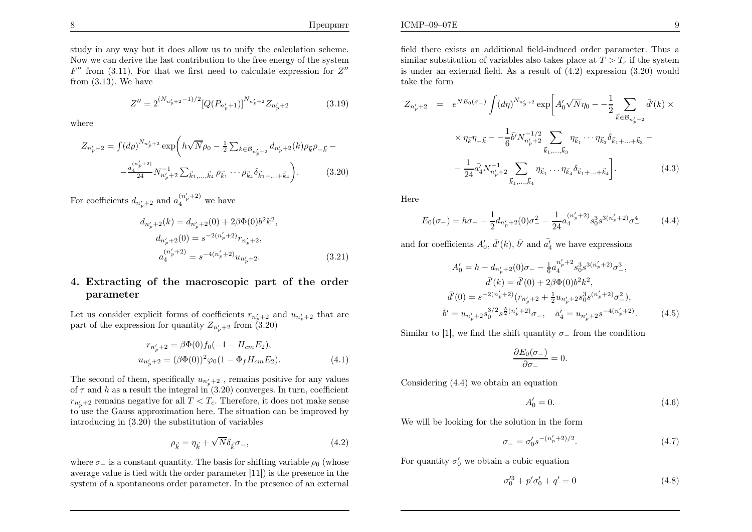$$
Z'' = 2^{(N_{n'_p+2}-1)/2} [Q(P_{n'_p+1})]^{N_{n'_p+2}} Z_{n'_p+2}
$$
(3.19)

where

$$
Z_{n'_p+2} = \int (d\rho)^{N_{n'_p+2}} \exp\left(h\sqrt{N}\rho_0 - \frac{1}{2} \sum_{k \in \mathcal{B}_{n'_p+2}} d_{n'_p+2}(k)\rho_{\vec{k}}\rho_{-\vec{k}} - \frac{a_4^{(n'_p+2)}}{24} N_{n'_p+2}^{-1} \sum_{\vec{k}_1,\dots,\vec{k}_4} \rho_{\vec{k}_1} \cdots \rho_{\vec{k}_4} \delta_{\vec{k}_1 + \dots + \vec{k}_4}\right).
$$
 (3.20)

For coefficients  $d_{n_p'+2}$  and  $a_4^{(n_p'+2)}$  we have

$$
d_{n'_p+2}(k) = d_{n'_p+2}(0) + 2\beta \Phi(0)b^2k^2,
$$
  
\n
$$
d_{n'_p+2}(0) = s^{-2(n'_p+2)}r_{n'_p+2},
$$
  
\n
$$
a_4^{(n'_p+2)} = s^{-4(n'_p+2)}u_{n'_p+2}.
$$
\n(3.21)

# 4. Extracting of the macroscopic part of the orderparameter

Let us consider explicit forms of coefficients  $r_{n'_p+2}$  and  $u_{n'_p+2}$  that are part of the expression for quantity  $Z_{n_p'+2}$  from (3.20)

$$
r_{n'_p+2} = \beta \Phi(0) f_0(-1 - H_{cm} E_2),
$$
  
\n
$$
u_{n'_p+2} = (\beta \Phi(0))^2 \varphi_0(1 - \Phi_f H_{cm} E_2).
$$
\n(4.1)

The second of them, specifically  $u_{n_p'+2}$ , remains positive for any values of  $\tau$  and h as a result the integral in  $(3.20)$  converges. In turn, coefficient  $r_{n_p'+2}$  remains negative for all  $T < T_c$ . Therefore, it does not make sense to use the Gauss approximation here. The situation can be improved by introducing in (3.20) the substitution of variables

$$
\rho_{\vec{k}} = \eta_{\vec{k}} + \sqrt{N} \delta_{\vec{k}} \sigma_{-}, \qquad (4.2)
$$

where  $\sigma_{-}$  is a constant quantity. The basis for shifting variable  $\rho_0$  (whose average value is tied with the order parameter [11]) is the presence in thesystem of <sup>a</sup> spontaneous order parameter. In the presence of an external

$$
Z_{n'_p+2} = e^{NE_0(\sigma_-)} \int (d\eta)^{N_{n'_p+2}} \exp \left[ A'_0 \sqrt{N} \eta_0 - \frac{1}{2} \sum_{\vec{k} \in \mathcal{B}_{n'_p+2}} \bar{d}'(k) \times \right.
$$
  

$$
\times \eta_{\vec{k}} \eta_{-\vec{k}} - \frac{1}{6} \bar{b}' N_{n'_p+2}^{-1/2} \sum_{\vec{k}_1, ..., \vec{k}_3} \eta_{\vec{k}_1} \cdots \eta_{\vec{k}_3} \delta_{\vec{k}_1 + ... + \vec{k}_3} - \frac{1}{24} \bar{d}'_4 N_{n'_p+2}^{-1} \sum_{\vec{k}_1, ..., \vec{k}_4} \eta_{\vec{k}_1} \cdots \eta_{\vec{k}_4} \delta_{\vec{k}_1 + ... + \vec{k}_4} \right].
$$
 (4.3)

Here

$$
E_0(\sigma_-) = h\sigma_- - \frac{1}{2}d_{n'_p+2}(0)\sigma_-^2 - \frac{1}{24}a_4^{(n'_p+2)}s_0^3s^{3(n'_p+2)}\sigma_-^4 \tag{4.4}
$$

and for coefficients  $A'_0$ ,  $\bar{d}'(k)$ ,  $\bar{b}'$  and  $\bar{a'_4}$  we have expressions

$$
A'_0 = h - d_{n'_p+2}(0)\sigma_- - \frac{1}{6}a_4^{n'_p+2}s_0^3s^{3(n'_p+2)}\sigma_-^3,
$$
  
\n
$$
\bar{d}'(k) = \bar{d}'(0) + 2\beta\Phi(0)b^2k^2,
$$
  
\n
$$
\bar{d}'(0) = s^{-2(n'_p+2)}(r_{n'_p+2} + \frac{1}{2}u_{n'_p+2}s_0^3s^{(n'_p+2)}\sigma_-^2),
$$
  
\n
$$
\bar{b}' = u_{n'_p+2}s_0^{3/2}s^{\frac{5}{2}(n'_p+2)}\sigma_-, \quad \bar{a}'_4 = u_{n'_p+2}s^{-4(n'_p+2)}.
$$
\n(4.5)

Similar to [1], we find the shift quantity  $\sigma_+$  from the condition

$$
\frac{\partial E_0(\sigma_-)}{\partial \sigma_-} = 0.
$$

Considering (4.4) we obtain an equation

$$
A'_0 = 0.\t\t(4.6)
$$

We will be looking for the solution in the form

$$
\sigma_- = \sigma'_0 s^{-(n'_p+2)/2}.\tag{4.7}
$$

For quantity  $\sigma_0'$  we obtain a cubic equation

$$
\sigma_0^{\prime 3} + p^{\prime} \sigma_0^{\prime} + q^{\prime} = 0 \tag{4.8}
$$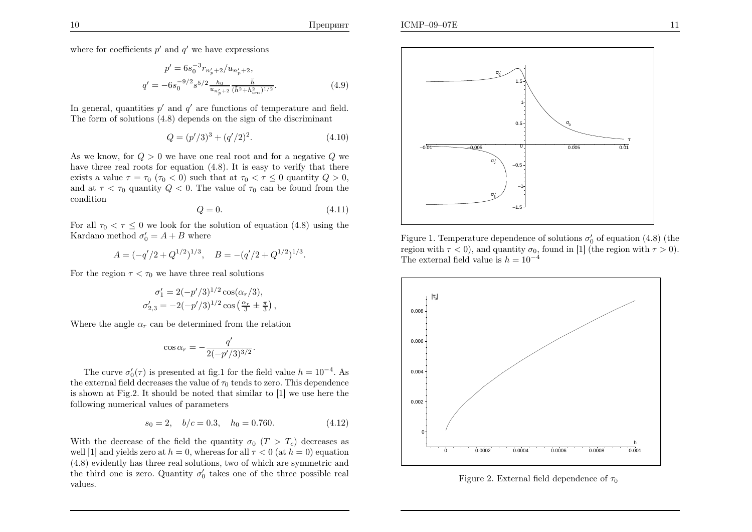where for coefficients  $p'$  and  $q'$  we have expressions

$$
p' = 6s_0^{-3}r_{n'_p+2}/u_{n'_p+2},
$$
  
\n
$$
q' = -6s_0^{-9/2}s^{5/2}\frac{h_0}{u_{n'_p+2}}\frac{\tilde{h}}{(\tilde{h}^2+h_{cm}^2)^{1/2}}.
$$
\n(4.9)

In general, quantities  $p'$  and  $q'$  are functions of temperature and field. The form of solutions (4.8) depends on the sign of the discriminant

$$
Q = (p'/3)^3 + (q'/2)^2.
$$
 (4.10)

As we know, for  $Q > 0$  we have one real root and for a negative  $Q$  we have three real roots for equation (4.8). It is easy to verify that there exists a value  $\tau = \tau_0$  ( $\tau_0 < 0$ ) such that at  $\tau_0 < \tau \leq 0$  quantity  $Q > 0$ , and at  $\tau < \tau_0$  quantity  $Q < 0$ . The value of  $\tau_0$  can be found from the condition

$$
Q = 0.\t\t(4.11)
$$

For all  $\tau_0 < \tau \leq 0$  we look for the solution of equation (4.8) using the  $K$ Kardano method  $\sigma'_0 = A + B$  where

$$
A = (-q'/2 + Q^{1/2})^{1/3}, \quad B = -(q'/2 + Q^{1/2})^{1/3}.
$$

For the region  $\tau < \tau_0$  we have three real solutions

$$
\sigma'_1 = 2(-p'/3)^{1/2} \cos(\alpha_r/3),
$$
  
\n
$$
\sigma'_{2,3} = -2(-p'/3)^{1/2} \cos(\frac{\alpha_r}{3} \pm \frac{\pi}{3}),
$$

Where the angle  $\alpha_r$  can be determined from the relation

$$
\cos \alpha_r = -\frac{q'}{2(-p'/3)^{3/2}}.
$$

The curve  $\sigma_0'(\tau)$  is presented at fig.1 for the field value  $h = 10^{-4}$ . As the external field decreases the value of  $\tau_0$  tends to zero. This dependence is shown at Fig.2. It should be noted that similar to [1] we use here the following numerical values of parameters

$$
s_0 = 2, \quad b/c = 0.3, \quad h_0 = 0.760. \tag{4.12}
$$

With the decrease of the field the quantity  $\sigma_0$  ( $T > T_c$ ) decreases as well [1] and yields zero at  $h = 0$ , whereas for all  $\tau < 0$  (at  $h = 0$ ) equation (4.8) evidently has three real solutions, two of which are symmetric andthe third one is zero. Quantity  $\sigma_0'$  takes one of the three possible real values.



Figure 1. Temperature dependence of solutions  $\sigma_0'$  of equation (4.8) (the region with  $\tau < 0$ ), and quantity  $\sigma_0$ , found in [1] (the region with  $\tau > 0$ ). The external field value is  $h = 10^{-4}$ 



Figure 2. External field dependence of  $\tau_0$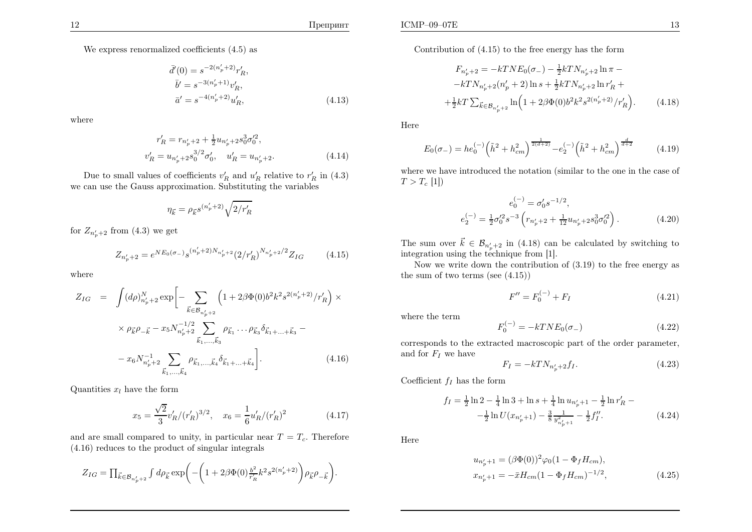We express renormalized coefficients (4.5) as

$$
\begin{aligned}\n\bar{d}'(0) &= s^{-2(n'_p+2)} r'_R, \\
\bar{b}' &= s^{-3(n'_p+1)} v'_R, \\
\bar{a}' &= s^{-4(n'_p+2)} u'_R,\n\end{aligned} \tag{4.13}
$$

where

$$
r'_{R} = r_{n'_{p}+2} + \frac{1}{2} u_{n'_{p}+2} s_{0}^{3} \sigma_{0}^{\prime 2},
$$
  

$$
v'_{R} = u_{n'_{p}+2} s_{0}^{3/2} \sigma_{0}^{\prime}, \quad u'_{R} = u_{n'_{p}+2}.
$$
 (4.14)

Due to small values of coefficients  $v'_R$  and  $u'_R$  relative to  $r'_R$  in (4.3) we can use the Gauss approximation. Substituting the variables

$$
\eta_{\vec{k}}=\rho_{\vec{k}}s^{(n'_p+2)}\sqrt{2/r'_R}
$$

for  $Z_{n'_p+2}$  from (4.3) we get

$$
Z_{n'_p+2} = e^{NE_0(\sigma_-)} s^{(n'_p+2)N_{n'_p+2}} (2/r'_R)^{N_{n'_p+2}/2} Z_{IG}
$$
 (4.15)

where

$$
Z_{IG} = \int (d\rho)_{n'_p+2}^N \exp\left[-\sum_{\vec{k}\in\mathcal{B}_{n'_p+2}} \left(1+2\beta\Phi(0)b^2k^2s^{2(n'_p+2)}/r'_R\right)\right] \times
$$
  
 
$$
\times \rho_{\vec{k}}\rho_{-\vec{k}} - x_5N_{n'_p+2}^{-1/2} \sum_{\vec{k}_1,\dots,\vec{k}_3} \rho_{\vec{k}_1}\dots\rho_{\vec{k}_3}\delta_{\vec{k}_1+\dots+\vec{k}_3} -
$$
  
 
$$
-x_6N_{n'_p+2}^{-1} \sum_{\vec{k}_1,\dots,\vec{k}_4} \rho_{\vec{k}_1,\dots,\vec{k}_4}\delta_{\vec{k}_1+\dots+\vec{k}_4}\right].
$$
 (4.16)

Quantities  $x_l$  have the form

$$
x_5 = \frac{\sqrt{2}}{3} v'_R / (r'_R)^{3/2}, \quad x_6 = \frac{1}{6} u'_R / (r'_R)^2 \tag{4.17}
$$

and are small compared to unity, in particular near  $T=T_c$ . Therefore (4.16) reduces to the product of singular integrals

$$
Z_{IG} = \prod_{\vec{k} \in \mathcal{B}_{n'_p+2}} \int d\rho_{\vec{k}} \exp \biggl( - \biggl( 1 + 2\beta \Phi(0) \tfrac{b^2}{r'_R} k^2 s^{2(n'_p+2)} \biggr) \rho_{\vec{k}} \rho_{-\vec{k}} \biggr).
$$

Contribution of (4.15) to the free energy has the form

$$
F_{n'_p+2} = -kTNE_0(\sigma_-) - \frac{1}{2}kTN_{n'_p+2}\ln \pi -
$$
  

$$
-kTN_{n'_p+2}(n'_p+2)\ln s + \frac{1}{2}kTN_{n'_p+2}\ln r'_R +
$$
  

$$
+\frac{1}{2}kT\sum_{\vec{k}\in\mathcal{B}_{n'_p+2}}\ln\left(1+2\beta\Phi(0)b^2k^2s^{2(n'_p+2)}/r'_R\right).
$$
 (4.18)

Here

$$
E_0(\sigma_-) = h e_0^{(-)} \left(\tilde{h}^2 + h_{cm}^2\right)^{\frac{1}{2(d+2)}} - e_2^{(-)} \left(\tilde{h}^2 + h_{cm}^2\right)^{\frac{d}{d+2}} \tag{4.19}
$$

where we have introduced the notation (similar to the one in the case of $T > T_c [1])$ 

$$
e_0^{(-)} = \sigma'_0 s^{-1/2},
$$
  
\n
$$
e_2^{(-)} = \frac{1}{2} \sigma_0^2 s^{-3} \left( r_{n'_p+2} + \frac{1}{12} u_{n'_p+2} s_0^3 \sigma_0^2 \right).
$$
\n(4.20)

The sum over  $\vec{k} \in \mathcal{B}_{n_p'+2}$  in (4.18) can be calculated by switching to integration using the technique from [1]. integration using the technique from  $[1]$ .

 Now we write down the contribution of (3.19) to the free energy asthe sum of two terms (see (4.15))

$$
F'' = F_0^{(-)} + F_I \tag{4.21}
$$

where the term

$$
F_0^{(-)} = -kTNE_0(\sigma_-) \tag{4.22}
$$

 corresponds to the extracted macroscopic part of the order parameter,and for  $F_I$  we have

$$
F_I = -kT N_{n'_p + 2} f_I.
$$
\n(4.23)

Coefficient  $f_I$  has the form

$$
f_I = \frac{1}{2} \ln 2 - \frac{1}{4} \ln 3 + \ln s + \frac{1}{4} \ln u_{n'_p+1} - \frac{1}{2} \ln r'_R -
$$
  

$$
- \frac{1}{2} \ln U(x_{n'_p+1}) - \frac{3}{8} \frac{1}{y_{n'_p+1}^2} - \frac{1}{2} f''_I.
$$
 (4.24)

Here

$$
u_{n'_p+1} = (\beta \Phi(0))^2 \varphi_0 (1 - \Phi_f H_{cm}),
$$
  
\n
$$
x_{n'_p+1} = -\bar{x} H_{cm} (1 - \Phi_f H_{cm})^{-1/2},
$$
\n(4.25)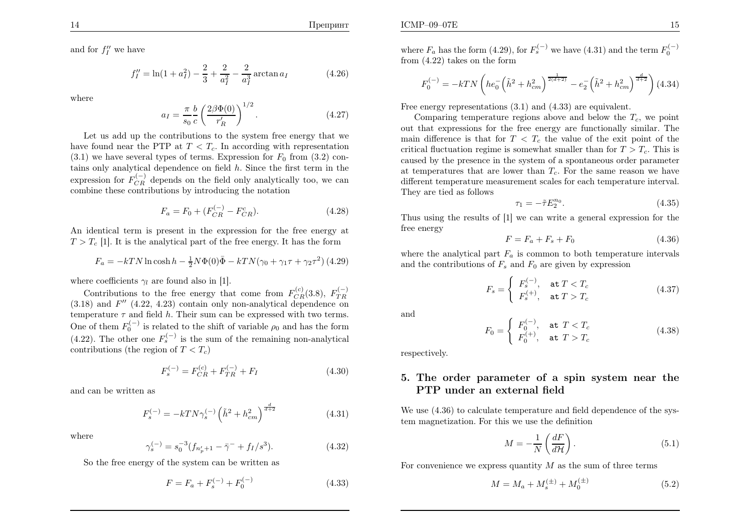Препринт

and for  $f_I''$  we have

$$
f_I'' = \ln(1 + a_I^2) - \frac{2}{3} + \frac{2}{a_I^2} - \frac{2}{a_I^3} \arctan a_I \tag{4.26}
$$

where

$$
a_I = \frac{\pi}{s_0} \frac{b}{c} \left( \frac{2\beta \Phi(0)}{r'_R} \right)^{1/2}.
$$
 (4.27)

 Let us add up the contributions to the system free energy that wehave found near the PTP at  $T < T_c$ . In according with representation  $(3.1)$  we have several types of terms. Expression for  $F_0$  from  $(3.2)$  contains only analytical dependence on field  $h$ . Since the first term in the expression for  $F_{CR}^{(-)}$  depends on the field only analytically too, we can combine these contributions by introducing the notation

$$
F_a = F_0 + (F_{CR}^{(-)} - F_{CR}^c). \tag{4.28}
$$

An identical term is present in the expression for the free energy at $T > T_c$  [1]. It is the analytical part of the free energy. It has the form

$$
F_a = -kTN \ln \cosh h - \frac{1}{2}N\Phi(0)\bar{\Phi} - kTN(\gamma_0 + \gamma_1\tau + \gamma_2\tau^2)
$$
 (4.29)

where coefficients  $\gamma_l$  are found also in [1].

Contributions to the free energy that come from  $F_{CR}^{(c)}(3.8), F_{TR}^{(-)}$  $(3.18)$  and  $F''$   $(4.22, 4.23)$  contain only non-analytical dependence on temperature  $\tau$  and field h. Their sum can be expressed with two terms. One of them  $F_0^{(-)}$  is related to the shift of variable  $\rho_0$  and has the form (4.22). The other one  $F_s^{(-)}$  is the sum of the remaining non-analytical contributions (the region of  $T < T_c$ )

$$
F_s^{(-)} = F_{CR}^{(c)} + F_{TR}^{(-)} + F_I
$$
\n(4.30)

and can be written as

$$
F_s^{(-)} = -kTN\gamma_s^{(-)}\left(\tilde{h}^2 + h_{cm}^2\right)^{\frac{d}{d+2}}\tag{4.31}
$$

where

$$
\gamma_s^{(-)} = s_0^{-3} (f_{n_p'+1} - \bar{\gamma}^- + f_I/s^3). \tag{4.32}
$$

So the free energy of the system can be written as

$$
F = F_a + F_s^{(-)} + F_0^{(-)}
$$
\n(4.33)

ICMP–09–07E $\mathbf{E}$  15

where  $F_a$  has the form (4.29), for  $F_s^{(-)}$  we have (4.31) and the term  $F_0^{(-)}$ from (4.22) takes on the form

$$
F_0^{(-)} = -kTN\left(he_0^{-}\left(\tilde{h}^2 + h_{cm}^2\right)^{\frac{1}{2(d+2)}} - e_2^{-}\left(\tilde{h}^2 + h_{cm}^2\right)^{\frac{d}{d+2}}\right)
$$
(4.34)

Free energy representations (3.1) and (4.33) are equivalent.

Comparing temperature regions above and below the  $T_c$ , we point out that expressions for the free energy are functionally similar. Themain difference is that for  $T < T_c$  the value of the exit point of the critical fluctuation regime is somewhat smaller than for  $T > T_c$ . This is caused by the presence in the system of <sup>a</sup> spontaneous order parameterat temperatures that are lower than  $T_c$ . For the same reason we have different temperature measurement scales for each temperature interval.They are tied as follows

$$
\tau_1 = -\tilde{\tau} E_2^{n_0}.
$$
\n(4.35)

 Thus using the results of [1] we can write <sup>a</sup> genera<sup>l</sup> expression for thefree energy

$$
F = F_a + F_s + F_0 \tag{4.36}
$$

where the analytical part  $F_a$  is common to both temperature intervals and the contributions of  $F_s$  and  $F_0$  are given by expression

$$
F_s = \begin{cases} F_s^{(-)}, & \text{at } T < T_c \\ F_s^{(+)}, & \text{at } T > T_c \end{cases}
$$
(4.37)

and

$$
F_0 = \begin{cases} F_0^{(-)}, & \text{at } T < T_c \\ F_0^{(+)}, & \text{at } T > T_c \end{cases}
$$
 (4.38)

respectively.

# 5. The order parameter of <sup>a</sup> spin system near thePTP under an external field

We use (4.36) to calculate temperature and field dependence of the system magnetization. For this we use the definition

$$
M = -\frac{1}{N} \left( \frac{dF}{d\mathcal{H}} \right). \tag{5.1}
$$

For convenience we express quantity  $M$  as the sum of three terms

$$
M = M_a + M_s^{(\pm)} + M_0^{(\pm)} \tag{5.2}
$$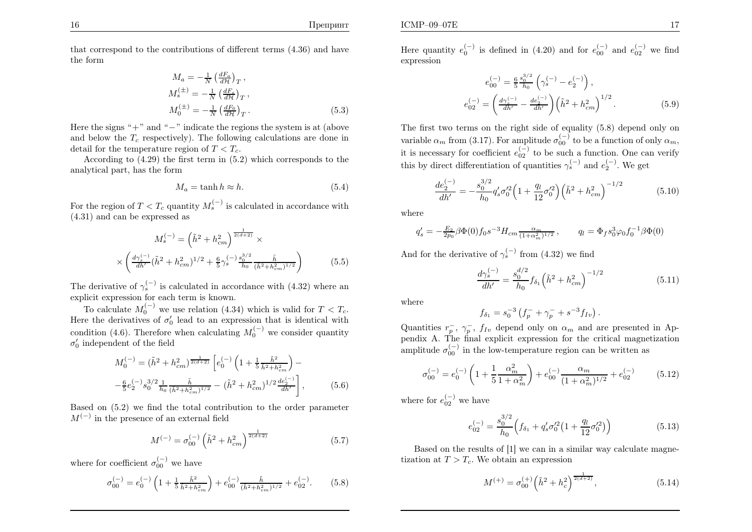that correspond to the contributions of different terms (4.36) and havethe form

$$
M_a = -\frac{1}{N} \left( \frac{dF_a}{d\mathcal{H}} \right)_T,
$$
  
\n
$$
M_s^{(\pm)} = -\frac{1}{N} \left( \frac{dF_s}{d\mathcal{H}} \right)_T,
$$
  
\n
$$
M_0^{(\pm)} = -\frac{1}{N} \left( \frac{dF_0}{d\mathcal{H}} \right)_T.
$$
\n(5.3)

Here the signs " $+$ " and " $-$ " indicate the regions the system is at (above and below the  $T_c$  respectively). The following calculations are done in detail for the temperature region of  $T < T_c$ .

According to (4.29) the first term in (5.2) which corresponds to theanalytical part, has the form

$$
M_a = \tanh h \approx h. \tag{5.4}
$$

For the region of  $T < T_c$  quantity  $M_s^{(-)}$  is calculated in accordance with (4.31) and can be expressed as

$$
M_s^{(-)} = \left(\tilde{h}^2 + h_{cm}^2\right)^{\frac{1}{2(d+2)}} \times \times \left(\frac{d\gamma_s^{(-)}}{dh'}(\tilde{h}^2 + h_{cm}^2)^{1/2} + \frac{6}{5}\gamma_s^{(-)}\frac{s_0^{3/2}}{h_0}\frac{\tilde{h}}{(\tilde{h}^2 + h_{cm}^2)^{1/2}}\right)
$$
(5.5)

The derivative of  $\gamma_s^{(-)}$  is calculated in accordance with (4.32) where an explicit expression for each term is known.

To calculate  $M_0^{(-)}$  we use relation (4.3) To calculate  $M_0^{(-)}$  we use relation (4.34) which is valid for  $T < T_c$ .<br>Here the derivatives of  $\sigma'_0$  lead to an expression that is identical with condition (4.6). Therefore when calculating  $M_0^{(-)}$  we consider quantity  $\sigma_0'$  independent of the field

$$
M_0^{(-)} = (\tilde{h}^2 + h_{cm}^2)^{\frac{1}{2(d+2)}} \left[ e_0^{(-)} \left( 1 + \frac{1}{5} \frac{\tilde{h}^2}{\hbar^2 + h_{cm}^2} \right) - \right. \\
\left. - \frac{6}{5} e_2^{(-)} s_0^{3/2} \frac{1}{h_0} \frac{\tilde{h}}{(\tilde{h}^2 + h_{cm}^2)^{1/2}} - (\tilde{h}^2 + h_{cm}^2)^{1/2} \frac{de_2^{(-)}}{dh'} \right],
$$
\n(5.6)

Based on (5.2) we find the total contribution to the order parameter $M<sup>(−)</sup>$  in the presence of an external field

$$
M^{(-)} = \sigma_{00}^{(-)} \left(\tilde{h}^2 + h_{cm}^2\right)^{\frac{1}{2(d+2)}}\tag{5.7}
$$

where for coefficient  $\sigma_{00}^{(-)}$  we have

$$
\sigma_{00}^{(-)} = e_0^{(-)} \left( 1 + \frac{1}{5} \frac{\tilde{h}^2}{\tilde{h}^2 + h_{cm}^2} \right) + e_{00}^{(-)} \frac{\tilde{h}}{(\tilde{h}^2 + h_{cm}^2)^{1/2}} + e_{02}^{(-)}.
$$
 (5.8)

Here quantity  $e_0^{(-)}$  is defined in (4.20) and for  $e_{00}^{(-)}$  and  $e_{02}^{(-)}$  we find expression

$$
e_{00}^{(-)} = \frac{6}{5} \frac{s_0^{3/2}}{h_0} \left(\gamma_s^{(-)} - e_2^{(-)}\right),
$$
  
\n
$$
e_{02}^{(-)} = \left(\frac{d\gamma_s^{(-)}}{dh'} - \frac{de_2^{(-)}}{dh'}\right) \left(\tilde{h}^2 + h_{cm}^2\right)^{1/2}.
$$
\n(5.9)

The first two terms on the right side of equality (5.8) depend only onvariable  $\alpha_m$  from (3.17). For amplitude  $\sigma_{00}^{(-)}$  to be a function of only  $\alpha_m$ , it is necessary for coefficient  $e_{02}^{(-)}$  to be such a function. One can verify this by direct differentiation of quantities  $\gamma_s^{(-)}$  and  $e_2^{(-)}$ . We get

$$
\frac{de_2^{(-)}}{dh'} = -\frac{s_0^{3/2}}{h_0} q_s' \sigma_0'^2 \left( 1 + \frac{q_l}{12} \sigma_0'^2 \right) \left( \tilde{h}^2 + h_{cm}^2 \right)^{-1/2} \tag{5.10}
$$

where

ICMP–09–07E

$$
q'_s = -\frac{E_2}{2p_0} \beta \Phi(0) f_0 s^{-3} H_{cm} \frac{\alpha_m}{(1 + \alpha_m^2)^{1/2}}, \qquad q_l = \Phi_f s_0^3 \varphi_0 f_0^{-1} \beta \Phi(0)
$$

And for the derivative of  $\gamma_s^{(-)}$  from (4.32) we find

$$
\frac{d\gamma_s^{(-)}}{dh'} = \frac{s_0^{d/2}}{h_0} f_{\delta_1} \left(\tilde{h}^2 + h_{cm}^2\right)^{-1/2} \tag{5.11}
$$

where

$$
f_{\delta_1} = s_0^{-3} \left( f_p^- + \gamma_p^- + s^{-3} f_{Iv} \right).
$$

Quantities  $r_p^-, \gamma_p^-, f_{Iv}$  depend only on  $\alpha_m$  and are presented in Approximation pendix A. The final explicit expression for the critical magnetizationamplitude  $\sigma_{00}^{(-)}$  in the low-temperature region can be written as

$$
\sigma_{00}^{(-)} = e_0^{(-)} \left( 1 + \frac{1}{5} \frac{\alpha_m^2}{1 + \alpha_m^2} \right) + e_{00}^{(-)} \frac{\alpha_m}{(1 + \alpha_m^2)^{1/2}} + e_{02}^{(-)} \tag{5.12}
$$

where for  $e_{02}^{(-)}$  we have

$$
e_{02}^{(-)} = \frac{s_0^{3/2}}{h_0} \Big( f_{\delta_1} + q_s' \sigma_0'^2 \big( 1 + \frac{q_l}{12} \sigma_0'^2 \big) \Big) \tag{5.13}
$$

Based on the results of [1] we can in <sup>a</sup> similar way calculate magnetization at  $T > T_c$ . We obtain an expression

$$
M^{(+)} = \sigma_{00}^{(+)} \left(\tilde{h}^2 + h_c^2\right)^{\frac{1}{2(d+2)}},\tag{5.14}
$$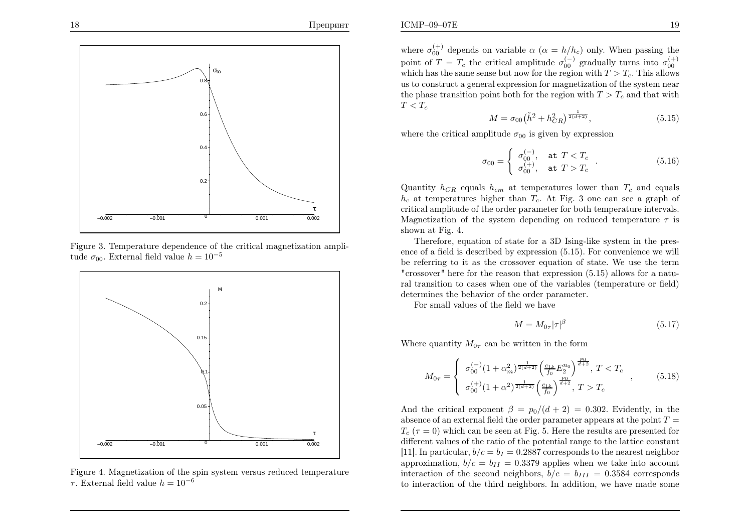18

Препринт



Figure 3. Temperature dependence of the critical magnetization amplitude  $\sigma_{00}$ . External field value  $h = 10^{-5}$ 



Figure 4. Magnetization of the spin system versus reduced temperatureτ. External field value  $h = 10^{-6}$ 

where  $\sigma_{00}^{(+)}$  depends on variable  $\alpha$  ( $\alpha = h/h_c$ ) only. When passing the point of  $T = T_c$  the critical amplitude  $\sigma_{00}^{(-)}$  gradually turns into  $\sigma_{00}^{(+)}$ which has the same sense but now for the region with  $T > T_c$ . This allows us to construct <sup>a</sup> general expression for magnetization of the system nearthe phase transition point both for the region with  $T > T_c$  and that with  $T < T_c$ 

$$
M = \sigma_{00} \left(\tilde{h}^2 + h_{CR}^2\right)^{\frac{1}{2(d+2)}},\tag{5.15}
$$

where the critical amplitude  $\sigma_{00}$  is given by expression

$$
\sigma_{00} = \begin{cases}\n\sigma_{00}^{(-)}, & \text{at } T < T_c \\
\sigma_{00}^{(+)}, & \text{at } T > T_c\n\end{cases} .
$$
\n(5.16)

Quantity  $h_{CR}$  equals  $h_{cm}$  at temperatures lower than  $T_c$  and equals  $h_{c}$  at temperatures higher than  $T_c$  at Eig 2 and can see a graph of  $h_c$  at temperatures higher than  $T_c$ . At Fig. 3 one can see a graph of critical amplitude of the order parameter for both temperature intervals.Magnetization of the system depending on reduced temperature  $\tau$  is shown at Fig. 4.

 Therefore, equation of state for <sup>a</sup> 3D Ising-like system in the presence of <sup>a</sup> field is described by expression (5.15). For convenience we will be referring to it as the crossover equation of state. We use the term "crossover" here for the reason that expression (5.15) allows for <sup>a</sup> natural transition to cases when one of the variables (temperature or field)determines the behavior of the order parameter.

For small values of the field we have

$$
M = M_{0\tau} |\tau|^{\beta} \tag{5.17}
$$

Where quantity  $M_{0\tau}$  can be written in the form

$$
M_{0\tau} = \begin{cases} \n\sigma_{00}^{(-)} (1 + \alpha_m^2)^{\frac{1}{2(d+2)}} \left( \frac{c_{1k}}{f_0} E_2^{n_0} \right)^{\frac{p_0}{d+2}}, \, T < T_c \\
\sigma_{00}^{(+)} (1 + \alpha^2)^{\frac{1}{2(d+2)}} \left( \frac{c_{1k}}{f_0} \right)^{\frac{p_0}{d+2}}, \, T > T_c\n\end{cases} \tag{5.18}
$$

And the critical exponent  $\beta = p_0/(d+2) = 0.302$ . Evidently, in the absence of an external field the order parameter appears at the point  $T =$  $T_c$  ( $\tau = 0$ ) which can be seen at Fig. 5. Here the results are presented for different values of the ratio of the potential range to the lattice constant[11]. In particular,  $b/c = b_I = 0.2887$  corresponds to the nearest neighbor approximation,  $b/c = b_{II} = 0.3379$  applies when we take into account interaction of the second neighbors,  $b/c = b_{III} = 0.3584$  corresponds to interaction of the third neighbors. In addition, we have made some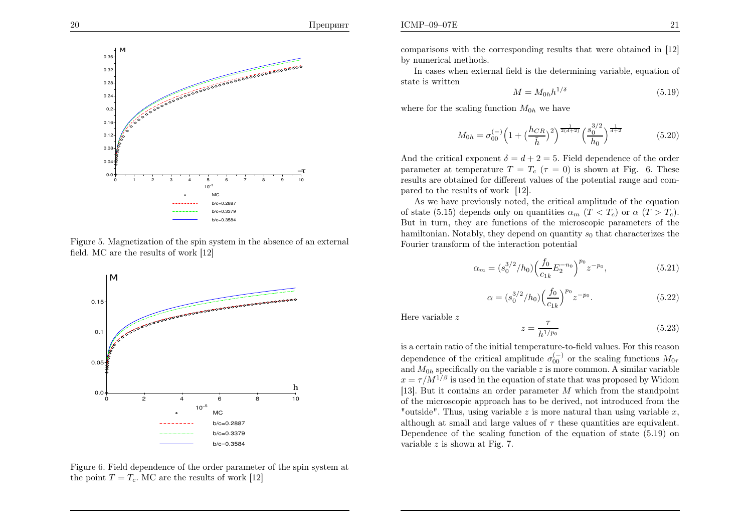

Figure 5. Magnetization of the spin system in the absence of an externalfield. MC are the results of work [12]



Figure 6. Field dependence of the order parameter of the spin system at the point  $T = T_c$ . MC are the results of work [12]

comparisons with the corresponding results that were obtained in [12]by numerical methods.

 In cases when external field is the determining variable, equation ofstate is written

$$
M = M_{0h}h^{1/\delta} \tag{5.19}
$$

where for the scaling function  $M_{0h}$  we have

$$
M_{0h} = \sigma_{00}^{(-)} \left( 1 + \left( \frac{h_{CR}}{\tilde{h}} \right)^2 \right)^{\frac{1}{2(d+2)}} \left( \frac{s_0^{3/2}}{h_0} \right)^{\frac{1}{d+2}} \tag{5.20}
$$

And the critical exponent  $\delta = d + 2 = 5$ . Field dependence of the order parameter at temperature  $T = T_c$  ( $\tau = 0$ ) is shown at Fig. 6. These results are obtained for different values of the potential range and compared to the results of work [12].

As we have previously noted, the critical amplitude of the equationof state (5.15) depends only on quantities  $\alpha_m$  ( $T < T_c$ ) or  $\alpha$  ( $T > T_c$ ). But in turn, they are functions of the microscopic parameters of thehamiltonian. Notably, they depend on quantity  $s_0$  that characterizes the Fourier transform of the interaction potential

$$
\alpha_m = (s_0^{3/2}/h_0) \left(\frac{f_0}{c_{1k}} E_2^{-n_0}\right)^{p_0} z^{-p_0},\tag{5.21}
$$

$$
\alpha = (s_0^{3/2}/h_0) \left(\frac{f_0}{c_{1k}}\right)^{p_0} z^{-p_0}.
$$
\n(5.22)

Here variable <sup>z</sup>

$$
z = \frac{\tau}{h^{1/p_0}}\tag{5.23}
$$

is <sup>a</sup> certain ratio of the initial temperature-to-field values. For this reasondependence of the critical amplitude  $\sigma_{00}^{(-)}$  or the scaling functions  $M_{0\tau}$ and  $M_{0h}$  specifically on the variable z is more common. A similar variable  $x = \tau / M^{1/\beta}$  is used in the equation of state that was proposed by Widom [13]. But it contains an order parameter  $M$  which from the standpoint of the microscopic approach has to be derived not introduced from the of the microscopic approach has to be derived, not introduced from the"outside". Thus, using variable  $z$  is more natural than using variable  $x$ , although at small and large values of  $\tau$  these quantities are equivalent. Dependence of the scaling function of the equation of state (5.19) onvariable  $z$  is shown at Fig. 7.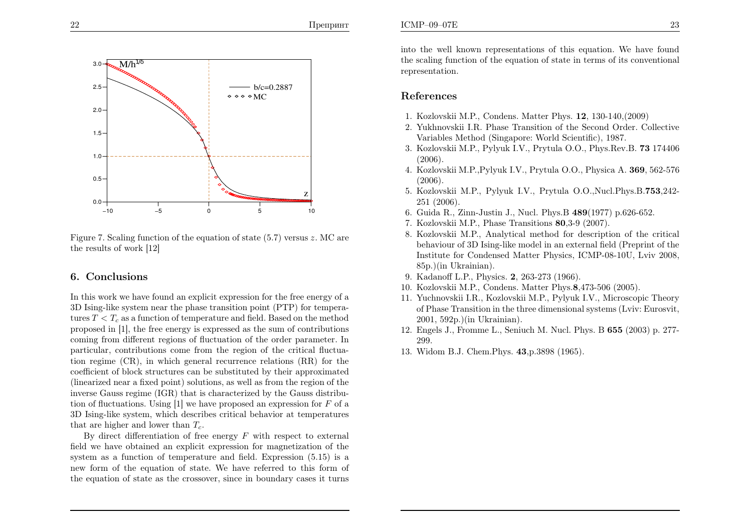#### Препринт



Figure 7. Scaling function of the equation of state (5.7) versus <sup>z</sup>. MC arethe results of work [12]

# 6. Conclusions

In this work we have found an explicit expression for the free energy of <sup>a</sup> 3D Ising-like system near the <sup>p</sup>hase transition point (PTP) for temperatures  $T < T_c$  as a function of temperature and field. Based on the method proposed in [1], the free energy is expressed as the sum of contributions coming from different regions of fluctuation of the order parameter. In particular, contributions come from the region of the critical fluctuation regime (CR), in which genera<sup>l</sup> recurrence relations (RR) for the coefficient of block structures can be substituted by their approximated (linearized near <sup>a</sup> fixed point) solutions, as well as from the region of the inverse Gauss regime (IGR) that is characterized by the Gauss distribution of fluctuations. Using  $[1]$  we have proposed an expression for  $F$  of a 3D Ising-like system, which describes critical behavior at temperaturesthat are higher and lower than  $T_c$ .

By direct differentiation of free energy  $F$  with respect to external field we have obtained an explicit expression for magnetization of the system as <sup>a</sup> function of temperature and field. Expression (5.15) is <sup>a</sup> new form of the equation of state. We have referred to this form ofthe equation of state as the crossover, since in boundary cases it turns

into the well known representations of this equation. We have found the scaling function of the equation of state in terms of its conventionalrepresentation.

## References

- 1. Kozlovskii M.P., Condens. Matter Phys. <sup>12</sup>, 130-140,(2009)
- 2. Yukhnovskii I.R. Phase Transition of the Second Order. CollectiveVariables Method (Singapore: World Scientific), 1987.
- 3. Kozlovskii M.P., Pylyuk I.V., Prytula O.O., Phys.Rev.B. 73 <sup>174406</sup> (2006).
- 4. Kozlovskii M.P.,Pylyuk I.V., Prytula O.O., Physica A. <sup>369</sup>, 562-576(2006).
- 5. Kozlovskii M.P., Pylyuk I.V., Prytula O.O.,Nucl.Phys.B.753,242-<sup>251</sup> (2006).
- 6. Guida R., Zinn-Justin J., Nucl. Phys.B <sup>489</sup>(1977) p.626-652.
- 7. Kozlovskii M.P., Phase Transitions <sup>80</sup>,3-9 (2007).
- 8. Kozlovskii M.P., Analytical method for description of the critical behaviour of 3D Ising-like model in an external field (Preprint of the Institute for Condensed Matter Physics, ICMP-08-10U, Lviv 2008, 85p.)(in Ukrainian).
- 9. Kadanoff L.P., Physics. <sup>2</sup>, 263-273 (1966).
- 10. Kozlovskii M.P., Condens. Matter Phys.8,473-506 (2005).
- 11. Yuchnovskii I.R., Kozlovskii M.P., Pylyuk I.V., Microscopic Theory of Phase Transition in the three dimensional systems (Lviv: Eurosvit, 2001, 592p.)(in Ukrainian).
- 12. Engels J., Fromme L., Seniuch M. Nucl. Phys. B <sup>655</sup> (2003) p. 277- 299.
- 13. Widom B.J. Chem.Phys. <sup>43</sup>,p.3898 (1965).